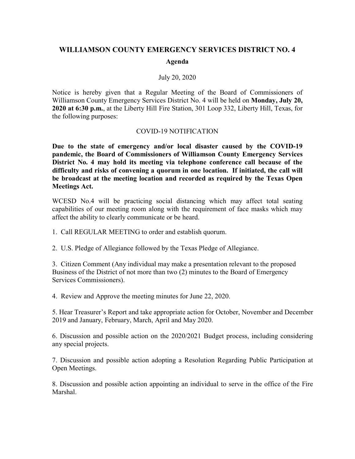## **WILLIAMSON COUNTY EMERGENCY SERVICES DISTRICT NO. 4**

## **Agenda**

## July 20, 2020

Notice is hereby given that a Regular Meeting of the Board of Commissioners of Williamson County Emergency Services District No. 4 will be held on **Monday, July 20, 2020 at 6:30 p.m.**, at the Liberty Hill Fire Station, 301 Loop 332, Liberty Hill, Texas, for the following purposes:

## COVID-19 NOTIFICATION

**Due to the state of emergency and/or local disaster caused by the COVID-19 pandemic, the Board of Commissioners of Williamson County Emergency Services District No. 4 may hold its meeting via telephone conference call because of the difficulty and risks of convening a quorum in one location. If initiated, the call will be broadcast at the meeting location and recorded as required by the Texas Open Meetings Act.**

WCESD No.4 will be practicing social distancing which may affect total seating capabilities of our meeting room along with the requirement of face masks which may affect the ability to clearly communicate or be heard.

1. Call REGULAR MEETING to order and establish quorum.

2. U.S. Pledge of Allegiance followed by the Texas Pledge of Allegiance.

3. Citizen Comment (Any individual may make a presentation relevant to the proposed Business of the District of not more than two (2) minutes to the Board of Emergency Services Commissioners).

4. Review and Approve the meeting minutes for June 22, 2020.

5. Hear Treasurer's Report and take appropriate action for October, November and December 2019 and January, February, March, April and May 2020.

6. Discussion and possible action on the 2020/2021 Budget process, including considering any special projects.

7. Discussion and possible action adopting a Resolution Regarding Public Participation at Open Meetings.

8. Discussion and possible action appointing an individual to serve in the office of the Fire Marshal.